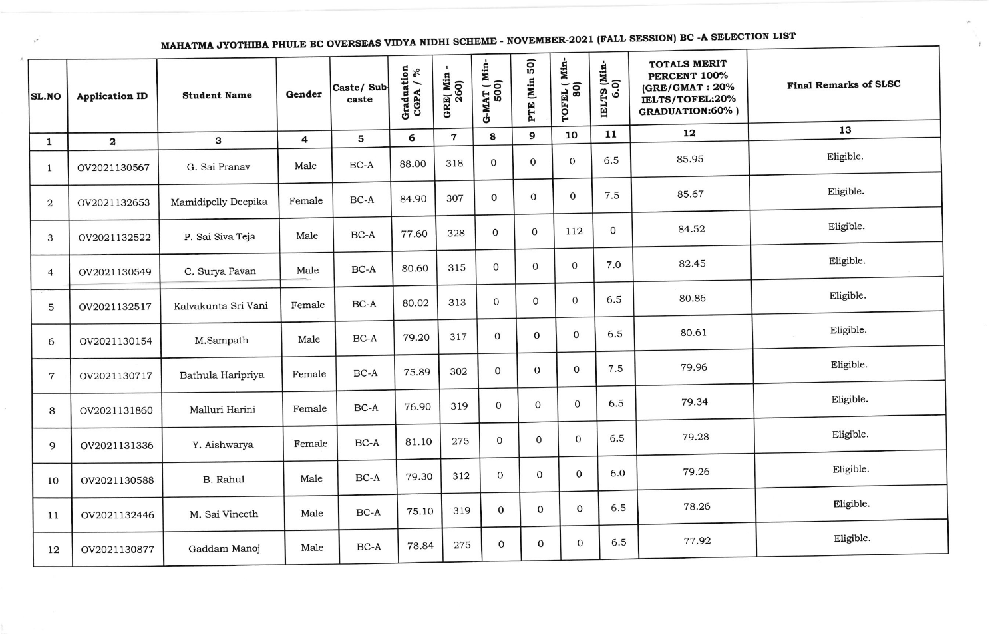MAHATMA JYOTHIBA PHULE BC OVERSEAS VIDYA NIDHI SCHEME - NOVEMBER-2021 (FALL SESSION) BC -A SELECTION LIST

 $\pm$ 

| <b>SL.NO</b>            | <b>Application ID</b> | <b>Student Name</b> | Gender | Caste/ Sub-<br>caste | Graduation<br>CGPA $/$ % | GRE(Min<br>260) | $G-MAT (Min-500)$ | 50)<br>PTE (Min | TOFEL ( Min-<br>80) | IELTS (Min-<br>6.0) | <b>TOTALS MERIT</b><br>PERCENT 100%<br>(GRE/GMAT: 20%<br>IELTS/TOFEL:20%<br><b>GRADUATION:60%)</b> | <b>Final Remarks of SLSC</b> |
|-------------------------|-----------------------|---------------------|--------|----------------------|--------------------------|-----------------|-------------------|-----------------|---------------------|---------------------|----------------------------------------------------------------------------------------------------|------------------------------|
| $\mathbf{1}$            | $\mathbf{2}$          | 3                   | 4      | 5                    | 6                        | $\mathbf 7$     | 8                 | 9               | 10                  | 11                  | 12                                                                                                 | 13                           |
| $\mathbf{1}$            | OV2021130567          | G. Sai Pranav       | Male   | BC-A                 | 88.00                    | 318             | $\mathbf 0$       | $\mathbf 0$     | $\mathbf 0$         | 6.5                 | 85.95                                                                                              | Eligible.                    |
| $\overline{\mathbf{c}}$ | OV2021132653          | Mamidipelly Deepika | Female | $BC-A$               | 84.90                    | 307             | $\mathbf 0$       | $\mathbf{O}$    | $\mathbf 0$         | 7.5                 | 85.67                                                                                              | Eligible.                    |
| 3                       | OV2021132522          | P. Sai Siva Teja    | Male   | $BC-A$               | 77.60                    | 328             | $\mathbf{0}$      | $\mathbf 0$     | 112                 | $\mathbf 0$         | 84.52                                                                                              | Eligible.                    |
| $\overline{4}$          | OV2021130549          | C. Surya Pavan      | Male   | BC-A                 | 80.60                    | 315             | $\mathbf 0$       | $\mathbf{0}$    | $\mathbf 0$         | 7.0                 | 82.45                                                                                              | Eligible.                    |
| 5                       | OV2021132517          | Kalvakunta Sri Vani | Female | BC-A                 | 80.02                    | 313             | $\mathbf{O}$      | $\mathbf{0}$    | 0                   | 6.5                 | 80.86                                                                                              | Eligible.                    |
| 6                       | OV2021130154          | M.Sampath           | Male   | BC-A                 | 79.20                    | 317             | $\mathbf{0}$      | 0               | $\mathbf{O}$        | 6.5                 | 80.61                                                                                              | Eligible.                    |
| $\overline{7}$          | OV2021130717          | Bathula Haripriya   | Female | $BC-A$               | 75.89                    | 302             | $\mathbf{0}$      | $\mathbf 0$     | $\mathbf{O}$        | 7.5                 | 79.96                                                                                              | Eligible.                    |
| 8                       | OV2021131860          | Malluri Harini      | Female | $BC-A$               | 76.90                    | 319             | $\mathbf 0$       | $\mathbf 0$     | $\mathbf 0$         | 6.5                 | 79.34                                                                                              | Eligible.                    |
| 9                       | OV2021131336          | Y. Aishwarya        | Female | $BC-A$               | 81.10                    | 275             | 0                 | $\Omega$        | $\mathbf 0$         | 6.5                 | 79.28                                                                                              | Eligible.                    |
| 10                      | OV2021130588          | B. Rahul            | Male   | $BC-A$               | 79.30                    | 312             | $\overline{0}$    | 0               | $\mathbf 0$         | 6.0                 | 79.26                                                                                              | Eligible.                    |
| 11                      | OV2021132446          | M. Sai Vineeth      | Male   | $BC-A$               | 75.10                    | 319             | $\overline{0}$    | $\mathbf 0$     | $\mathbf{0}$        | 6.5                 | 78.26                                                                                              | Eligible.                    |
| 12                      | OV2021130877          | Gaddam Manoj        | Male   | $BC-A$               | 78.84                    | 275             | $\mathbf{0}$      | $\mathbf 0$     | $\mathbf 0$         | 6.5                 | 77.92                                                                                              | Eligible.                    |

 $\pi^{\#}$